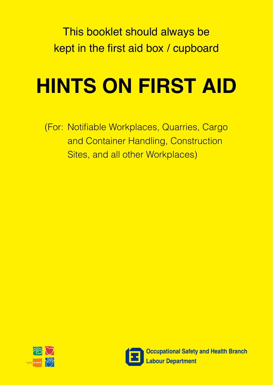This booklet should always be kept in the first aid box / cupboard

# **HINTS ON FIRST AID**

(For: Notifiable Workplaces, Quarries, Cargo and Container Handling, Construction Sites, and all other Workplaces)





**Occupational Safety and Health Branch Labour Department**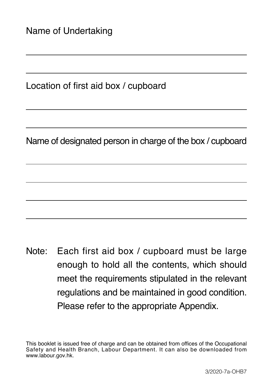Location of first aid box / cupboard

Name of designated person in charge of the box / cupboard

Note: Each first aid box / cupboard must be large enough to hold all the contents, which should meet the requirements stipulated in the relevant regulations and be maintained in good condition. Please refer to the appropriate Appendix.

This booklet is issued free of charge and can be obtained from offices of the Occupational Safety and Health Branch, Labour Department. It can also be downloaded from www.labour.gov.hk.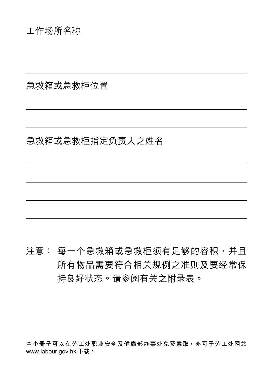急救箱或急救櫃位置

## 急救箱或急救柜指定负责人之姓名

# 注意: 每一个急救箱或急救柜须有足够的容积, 并且 所有物品需要符合相关规例之准则及要经常保 持良好状态。请参阅有关之附录表。

本小册子可以在劳工处职业安全及健康部办事处免费索取<sup>,</sup>亦可于劳工处网站 **www.labour.gov.hk 下載。**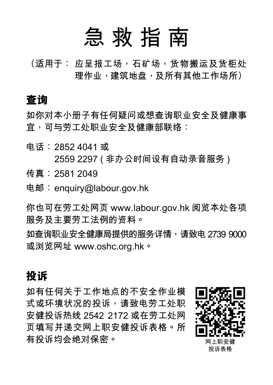# **急 救 指 南**

**(適用於: 應呈報工場,石礦場,貨物搬運及貨櫃處** 理作业,建筑地盘,及所有其他工作场所)

## **查詢**

如你对本小册子有任何疑问或想查询职业安全及健康事 **宜,可與勞工處職業安全及健康部聯絡:**

- **電話:2852 4041 或 2559 2297 ( 非辦公時間設有自動錄音服務 ) 傳真:2581 2049**
- **電郵:enquiry@labour.gov.hk**

**你也可在勞工處網頁 www.labour.gov.hk 閱覽本處各項 服務及主要勞工法例的資料。**

**如查詢職業安全健康局提供的服務詳情,請致電 2739 9000 或瀏覽網址 www.oshc.org.hk。**

## **投訴**

如有任何关于工作地点的不安全作业模 式或环境状况的投诉,请致电劳工**处**职 **安健投訴熱線 2542 2172 或在勞工處網 頁填寫並遞交網上職安健投訴表格。所 有投诉均会绝对保密。** 

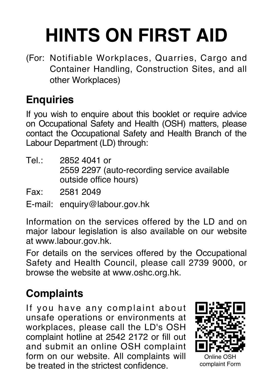# **HINTS ON FIRST AID**

(For: Notifiable Workplaces, Quarries, Cargo and Container Handling, Construction Sites, and all other Workplaces)

# **Enquiries**

If you wish to enquire about this booklet or require advice on Occupational Safety and Health (OSH) matters, please contact the Occupational Safety and Health Branch of the Labour Department (LD) through:

- Tel.: 2852 4041 or 2559 2297 (auto-recording service available outside office hours)
- Fax: 2581 2049
- E-mail: enquiry@labour.gov.hk

Information on the services offered by the LD and on major labour legislation is also available on our website at www.labour.gov.hk.

For details on the services offered by the Occupational Safety and Health Council, please call 2739 9000, or browse the website at www.oshc.org.hk.

# **Complaints**

If you have any complaint about unsafe operations or environments at workplaces, please call the LD's OSH complaint hotline at 2542 2172 or fill out and submit an online OSH complaint form on our website. All complaints will be treated in the strictest confidence.

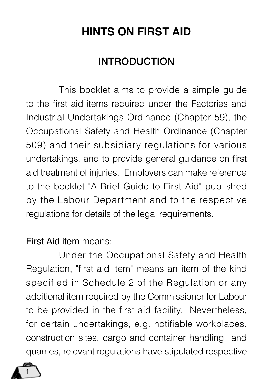# **HINTS ON FIRST AID**

# **INTRODUCTION**

This booklet aims to provide a simple guide to the first aid items required under the Factories and Industrial Undertakings Ordinance (Chapter 59), the Occupational Safety and Health Ordinance (Chapter 509) and their subsidiary regulations for various undertakings, and to provide general guidance on first aid treatment of injuries. Employers can make reference to the booklet "A Brief Guide to First Aid" published by the Labour Department and to the respective regulations for details of the legal requirements.

## First Aid item means:

Under the Occupational Safety and Health Regulation, "first aid item" means an item of the kind specified in Schedule 2 of the Regulation or any additional item required by the Commissioner for Labour to be provided in the first aid facility. Nevertheless, for certain undertakings, e.g. notifiable workplaces, construction sites, cargo and container handling and quarries, relevant regulations have stipulated respective

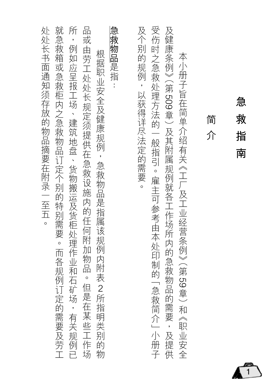| 受伤时之急救处理方法的一般指引。雇主可参考由本处印制的「急救简介」小册子<br>及个别的规例,以获得详尽法定的需要。<br>及健康条例》(第509章)及其附属规例就各工作场所内的急救物品的需要,及提供<br>本小册子旨在简单介绍有关《工厂及工业经营条例》(第59章)和《职业安全<br>简<br>介 |
|-------------------------------------------------------------------------------------------------------------------------------------------------------|
|                                                                                                                                                       |
| 急救物品是指:<br>根据职业安全及健康规例,急救物品是指属该规例内附表 2所指明类别的物                                                                                                         |
| 品或由劳工处处长规定须提供在急救设施内的任何附加物品。但是在某些工作场                                                                                                                   |
| 所,例如应呈报工场、建筑地盘、货物搬运及货柜处理作业和石矿场,有关规例已                                                                                                                  |
| 就急救箱或急救柜内之急救物品订定个别的特别需要。而各规例订定的需要及劳工                                                                                                                  |
| 处处长书面通知须存放的物品摘要在附录一至五。                                                                                                                                |

# **急救指南** 救 指 南

急

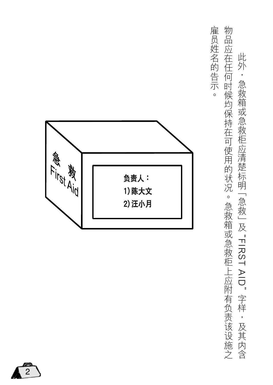物品应在任何时候均保持在可使用的状况。急救箱或急救柜上应附有负责该设施之 雇员姓名的告示。 物品德在任何時候的結果,為在行政的法律,為在行政的法律,為在行政的法律,為法律的法律,為法律的法律,為法律的法律,為法律的法律,為法律的法律,為法律的法律,為法律 此外,急救箱或急救柜应清楚标明 [急救] 及 "FIRST AID"字样,及其内含 , "FIRST AID" 字樣,及其內含

僱員姓名的告示。



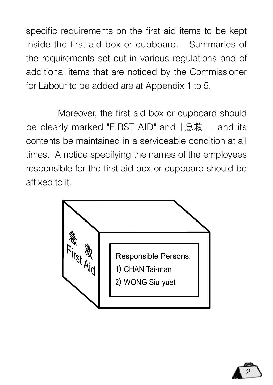specific requirements on the first aid items to be kept inside the first aid box or cupboard. Summaries of the requirements set out in various regulations and of additional items that are noticed by the Commissioner for Labour to be added are at Appendix 1 to 5.

 Moreover, the first aid box or cupboard should be clearly marked "FIRST AID" and「急救」, and its contents be maintained in a serviceable condition at all times. A notice specifying the names of the employees responsible for the first aid box or cupboard should be affixed to it.



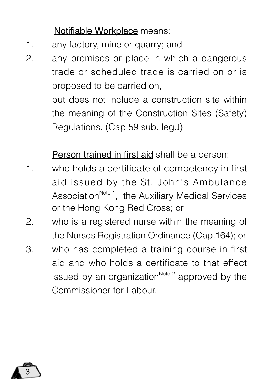## Notifiable Workplace means:

- 1. any factory, mine or quarry; and
- 2. any premises or place in which a dangerous trade or scheduled trade is carried on or is proposed to be carried on,

but does not include a construction site within the meaning of the Construction Sites (Safety) Regulations. (Cap.59 sub. leg.I)

Person trained in first aid shall be a person:

- 1. who holds a certificate of competency in first aid issued by the St. John's Ambulance Association<sup>Note 1</sup>, the Auxiliary Medical Services or the Hong Kong Red Cross; or
- 2. who is a registered nurse within the meaning of the Nurses Registration Ordinance (Cap.164); or
- 3. who has completed a training course in first aid and who holds a certificate to that effect issued by an organization<sup>Note 2</sup> approved by the Commissioner for Labour.

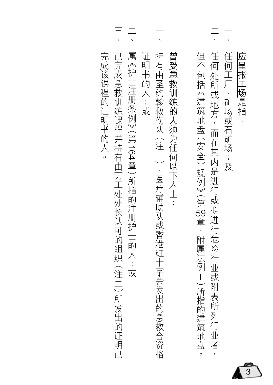|                          | 应呈报工场是指:                                |
|--------------------------|-----------------------------------------|
|                          | 任何工厂、矿场或石矿场;及                           |
|                          | 任何处所或地方,而在其内是进行或拟进行危险行业或附表所列行业者,        |
|                          | 但不包括《建筑地盘 (安全) 规例》(第59章,附属法例 I)所指的建筑地盘。 |
|                          | 曾受急救训练的人须为任何以下人士:                       |
|                          | 持有由圣约翰救伤队(注一)、医疗辅助队或香港红十字会发出的急救合资格      |
|                          | 证明书的人;或                                 |
| $\overline{\phantom{a}}$ | 属《护士注册条例》(第164章)所指的注册护士的人;或             |
| $\frac{1}{\sqrt{2}}$     | 已完成急救训练课程并持有由劳工处处长认可的组织 (注二) 所发出的证明已    |

 $\overline{3}$ 

完成该课程的证明书的人。 完成該課程的證明書的人。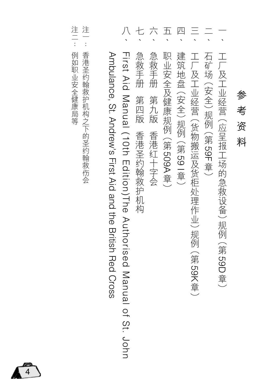|                                                              |                                                                  |                       |                    |                    | 四                   | $\equiv$                          |                    |                                |
|--------------------------------------------------------------|------------------------------------------------------------------|-----------------------|--------------------|--------------------|---------------------|-----------------------------------|--------------------|--------------------------------|
| Arroulance, St. Andrew's First Aid and the British Red Oross | Tirst Aid Manual (10th Edition)The Authorised Manual of St. John | 急救手册<br>第四版 香港圣约翰救护机构 | 急救手册<br>第九版 香港红十字会 | 职业安全及健康规例 (第509A章) | 建筑地盘 (安全)规例 (第591章) | 工厂及工业经营 (货物搬运及货柜处理作业)规例 (第 59K章 ) | 石矿场 (安全)规例 (第59F章) | 工厂及工业经营 (应呈报工场的急救设备)规例 (第59D章) |

參考資料

资料

参 考

- 注<br>-註一:香港聖約翰救護機構之下的聖約翰救傷會 香港圣约翰救护机构之下的圣约翰救伤会
- 注二: 例如职业安全健康局等 註二:例如職業安全健康局等

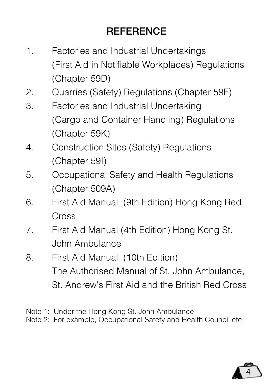# **REFERENCE**

- 1. Factories and Industrial Undertakings (First Aid in Notifiable Workplaces) Regulations (Chapter 59D)
- 2. Quarries (Safety) Regulations (Chapter 59F)
- 3. Factories and Industrial Undertaking (Cargo and Container Handling) Regulations (Chapter 59K)
- 4. Construction Sites (Safety) Regulations (Chapter 59I)
- 5. Occupational Safety and Health Regulations (Chapter 509A)
- 6. First Aid Manual (9th Edition) Hong Kong Red Cross
- 7. First Aid Manual (4th Edition) Hong Kong St. John Ambulance
- 8. First Aid Manual (10th Edition) The Authorised Manual of St. John Ambulance, St. Andrew's First Aid and the British Red Cross
- Note 1: Under the Hong Kong St. John Ambulance
- Note 2: For example, Occupational Safety and Health Council etc.

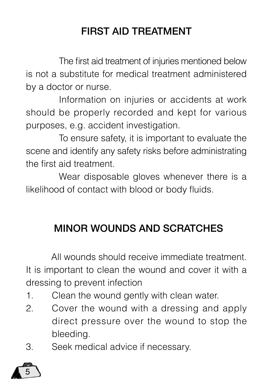# FIRST AID TREATMENT

The first aid treatment of injuries mentioned below is not a substitute for medical treatment administered by a doctor or nurse.

Information on injuries or accidents at work should be properly recorded and kept for various purposes, e.g. accident investigation.

To ensure safety, it is important to evaluate the scene and identify any safety risks before administrating the first aid treatment.

Wear disposable gloves whenever there is a likelihood of contact with blood or body fluids.

# MINOR WOUNDS AND SCRATCHES

 All wounds should receive immediate treatment. It is important to clean the wound and cover it with a dressing to prevent infection

- 1. Clean the wound gently with clean water.
- 2. Cover the wound with a dressing and apply direct pressure over the wound to stop the bleeding.
- 3. Seek medical advice if necessary.

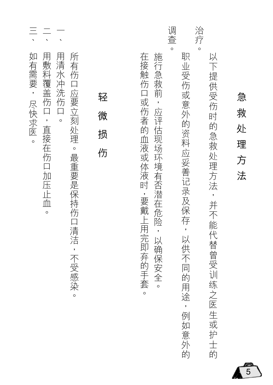|          | 急<br>救<br>处<br>理<br>方<br>法            |
|----------|---------------------------------------|
|          | 以下提供受伤时的急救处理方法<br>,并不能代替曾受训练之医生或护士的   |
| 治疗       | $\circ$                               |
|          | 职<br>·业受伤或意外的资料应妥善记录及保存,以供不同的用途,例如意外的 |
| 调查       | $\circ$                               |
|          | 施行急救前,应评估现场环境有否潜在危险,以确保安全。            |
|          | 在接触伤口或伤者的血液或体液时,要戴上用完即弃的手套<br>$\circ$ |
|          |                                       |
|          | 轻<br>微<br>损<br>伤                      |
|          | 所有伤口应要立刻处理。最重要是保持伤口清洁,不受感染。           |
|          | 用清水冲洗伤口<br>$\circ$                    |
| $\equiv$ | 用敷料覆盖伤口,直接在伤口加压止血。                    |
|          | 如有需要, 尽快求医。                           |

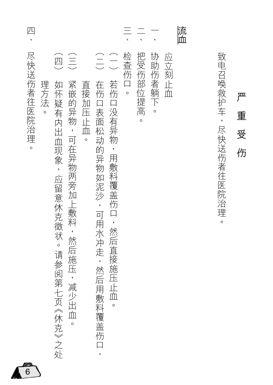| 四                             |                                                                                                                                          |                                                                                                                      | $\equiv$          |                  | 流血 |                     |                  |
|-------------------------------|------------------------------------------------------------------------------------------------------------------------------------------|----------------------------------------------------------------------------------------------------------------------|-------------------|------------------|----|---------------------|------------------|
| 尽快送伤者往医院治理。<br>理方法<br>$\circ$ | (四)<br>$\begin{pmatrix} 1 \\ 1 \\ 2 \end{pmatrix}$<br>紧嵌的异物,可在异物两旁加上敷料,然后施压,减少出血。<br>如怀疑有内出血现象,应留意休克徵状。请参阅第七页《休克》之处<br>直接加压止血<br>$\circ$ | $\bigcirc$<br>$\begin{pmatrix} 1 \\ -1 \end{pmatrix}$<br>若伤口没有异物,用敷料覆盖伤口,然后直接施压止血。<br>在伤口表面松动的异物如泥沙,可用水冲走,然后用敷料覆盖伤口, | 检查伤口。<br>把受伤部位提高。 | 协助伤者躺下。<br>应立刻止血 |    | 致电召唤救护车,尽快送伤者往医院治理。 | 严<br>重<br>受<br>伤 |

 $\sqrt{6}$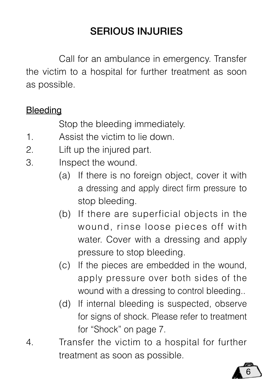# SERIOUS INJURIES

Call for an ambulance in emergency. Transfer the victim to a hospital for further treatment as soon as possible.

## **Bleeding**

Stop the bleeding immediately.

- 1. Assist the victim to lie down.
- 2. Lift up the injured part.
- 3. Inspect the wound.
	- (a) If there is no foreign object, cover it with a dressing and apply direct firm pressure to stop bleeding.
	- (b) If there are superficial objects in the wound, rinse loose pieces off with water. Cover with a dressing and apply pressure to stop bleeding.
	- (c) If the pieces are embedded in the wound, apply pressure over both sides of the wound with a dressing to control bleeding..
	- (d) If internal bleeding is suspected, observe for signs of shock. Please refer to treatment for "Shock" on page 7.
- 4. Transfer the victim to a hospital for further treatment as soon as possible.

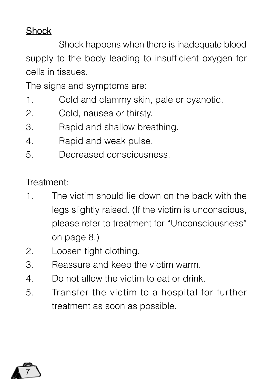## Shock

Shock happens when there is inadequate blood supply to the body leading to insufficient oxygen for cells in tissues.

The signs and symptoms are:

- 1. Cold and clammy skin, pale or cyanotic.
- 2. Cold, nausea or thirsty.
- 3. Rapid and shallow breathing.
- 4. Rapid and weak pulse.
- 5. Decreased consciousness.

Treatment:

- 1. The victim should lie down on the back with the legs slightly raised. (If the victim is unconscious, please refer to treatment for "Unconsciousness" on page 8.)
- 2. Loosen tight clothing.
- 3. Reassure and keep the victim warm.
- 4. Do not allow the victim to eat or drink.
- 5. Transfer the victim to a hospital for further treatment as soon as possible.

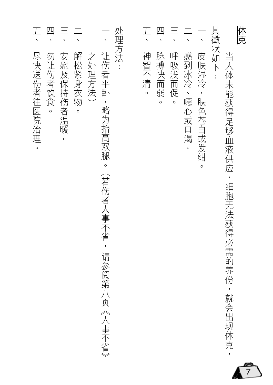| 五、          | 四                 |                      |         |        |                                         |       | $\overline{\mathbf{H}}$ | 四                | $\equiv$         |                       |                         |        |                                   | 体克 |
|-------------|-------------------|----------------------|---------|--------|-----------------------------------------|-------|-------------------------|------------------|------------------|-----------------------|-------------------------|--------|-----------------------------------|----|
| 尽快送伤者往医院治理。 | 勿让伤者饮食<br>$\circ$ | 安慰及保持伤者温暖<br>$\circ$ | 解松紧身衣物。 | 之处理方法) | 让伤者平卧,略为抬高双腿。<br>(若伤者人事不省, 请参阅第八页《人事不省》 | 处理方法: | 神智不清<br>$\circ$         | 脉搏快而弱<br>$\circ$ | 呼吸浅而促<br>$\circ$ | 感到冰冷、噁心或口渴<br>$\circ$ | 皮肤湿冷,肤色苍白或发绀<br>$\circ$ | 其徵状如下: | 当人体未能获得足够血液供应,细胞无法获得必需的养份,就会出现休克, |    |

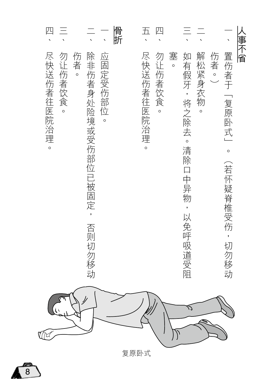| 四           |                   |               |                              |          | 骨折 | 五、          | 四                 |              |                          |                   |      |                                            | 八事不省 |
|-------------|-------------------|---------------|------------------------------|----------|----|-------------|-------------------|--------------|--------------------------|-------------------|------|--------------------------------------------|------|
| 尽快送伤者往医院治理。 | 勿让伤者饮食<br>$\circ$ | 伤者<br>$\circ$ | 除非伤者身处险境或受伤部位已被固定,<br>否则切勿移动 | 应固定受伤部位。 |    | 尽快送伤者往医院治理。 | 勿让伤者饮食<br>$\circ$ | 塞<br>$\circ$ | 如有假牙,将之除去。清除口中异物,以免呼吸道受阻 | 解松紧身衣物<br>$\circ$ | 伤者。〕 | 置伤者于<br>「复原卧式」<br>$\circ$<br>(若怀疑脊椎受伤,切勿移动 |      |
|             |                   |               |                              |          |    |             |                   |              | ད                        |                   |      |                                            |      |

复原卧式

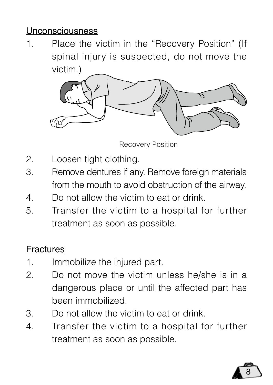## Unconsciousness

1. Place the victim in the "Recovery Position" (If spinal injury is suspected, do not move the victim.)



Recovery Position

- 2. Loosen tight clothing.
- 3. Remove dentures if any. Remove foreign materials from the mouth to avoid obstruction of the airway.
- 4. Do not allow the victim to eat or drink.
- 5. Transfer the victim to a hospital for further treatment as soon as possible.

## Fractures

- 1. Immobilize the injured part.
- 2. Do not move the victim unless he/she is in a dangerous place or until the affected part has been immobilized.
- 3. Do not allow the victim to eat or drink.
- 4. Transfer the victim to a hospital for further treatment as soon as possible.

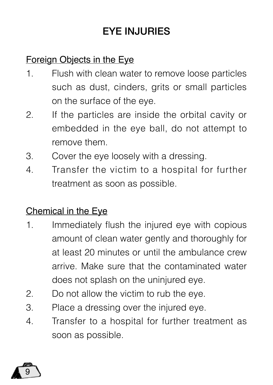# **EYE INJURIES**

## Foreign Objects in the Eye

- 1. Flush with clean water to remove loose particles such as dust, cinders, grits or small particles on the surface of the eye.
- 2. If the particles are inside the orbital cavity or embedded in the eye ball, do not attempt to remove them.
- 3. Cover the eye loosely with a dressing.
- 4. Transfer the victim to a hospital for further treatment as soon as possible.

## Chemical in the Eye

- 1. Immediately flush the injured eye with copious amount of clean water gently and thoroughly for at least 20 minutes or until the ambulance crew arrive. Make sure that the contaminated water does not splash on the uninjured eye.
- 2. Do not allow the victim to rub the eye.
- 3. Place a dressing over the injured eye.
- 4. Transfer to a hospital for further treatment as soon as possible.

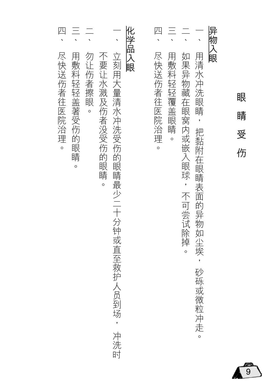| 异物                            | 以眼<br>如果异物藏在眼窝内或嵌入眼球<br>用清<br>水冲洗眼睛<br>眼<br>睛<br>把黏附在眼睛表面的异物如尘埃,<br>受<br>伤<br>,不可尝试除掉<br>$\circ$<br>砂砾或微粒冲走<br>$\circ$ |
|-------------------------------|------------------------------------------------------------------------------------------------------------------------|
| Л<br>$\overline{\phantom{0}}$ | 用敷料轻轻覆盖眼睛<br>尽快送伤者往医院治理<br>$\circ$<br>$\circ$                                                                          |
|                               | 化学品入眼                                                                                                                  |
|                               | 立刻用大量清水冲洗受伤的眼睛最少二十分钟或直至救护人员到场,<br>冲洗时                                                                                  |
|                               | 不要让水溅及伤者没受伤的眼睛<br>$\circ$                                                                                              |
|                               | 勿让伤者擦眼<br>$\circ$                                                                                                      |
|                               | 用敷料轻轻盖著受伤的眼睛<br>$\circ$                                                                                                |
| 匹                             | 尽快送伤者往医院治理<br>$\circ$                                                                                                  |

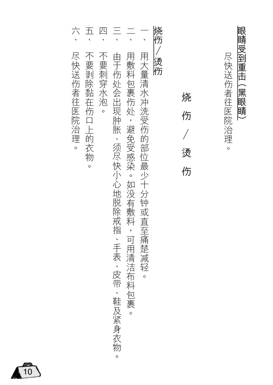|             | 五             | 四<br>、  |                                              |                                         |                                     | 烧伤 |                  |                            |
|-------------|---------------|---------|----------------------------------------------|-----------------------------------------|-------------------------------------|----|------------------|----------------------------|
| 尽快送伤者往医院治理。 | 不要剥除黏在伤口上的衣物。 | 不要刺穿水泡。 | 由于伤处会出现肿胀、须尽快小心地脱除戒指、手表、皮带、鞋及紧身衣物<br>$\circ$ | 用敷料包裹伤处,避免受感染。如没有敷料,可用清洁布料包裹<br>$\circ$ | 用大量清水冲洗受伤的部位最少十分钟或直至痛楚减轻<br>$\circ$ | 烫伤 | 烧<br>伤<br>烫<br>伤 | 眼睛受到重击(黑眼睛)<br>尽快送伤者往医院治理。 |

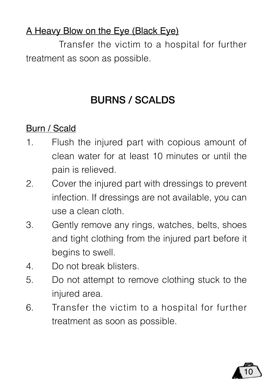## A Heavy Blow on the Eye (Black Eye)

Transfer the victim to a hospital for further treatment as soon as possible.

# BURNS / SCALDS

# Burn / Scald

- 1. Flush the injured part with copious amount of clean water for at least 10 minutes or until the pain is relieved.
- 2. Cover the injured part with dressings to prevent infection. If dressings are not available, you can use a clean cloth.
- 3. Gently remove any rings, watches, belts, shoes and tight clothing from the injured part before it begins to swell.
- 4. Do not break blisters.
- 5. Do not attempt to remove clothing stuck to the injured area.
- 6. Transfer the victim to a hospital for further treatment as soon as possible.

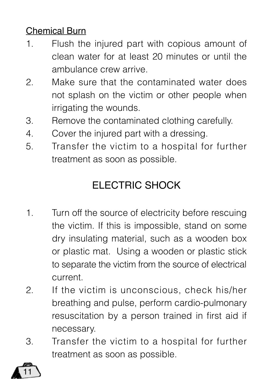## Chemical Burn

- 1. Flush the injured part with copious amount of clean water for at least 20 minutes or until the ambulance crew arrive.
- 2. Make sure that the contaminated water does not splash on the victim or other people when irrigating the wounds.
- 3. Remove the contaminated clothing carefully.
- 4. Cover the injured part with a dressing.
- 5. Transfer the victim to a hospital for further treatment as soon as possible.

# ELECTRIC SHOCK

- 1. Turn off the source of electricity before rescuing the victim. If this is impossible, stand on some dry insulating material, such as a wooden box or plastic mat. Using a wooden or plastic stick to separate the victim from the source of electrical current.
- 2. If the victim is unconscious, check his/her breathing and pulse, perform cardio-pulmonary resuscitation by a person trained in first aid if necessary.
- 3. Transfer the victim to a hospital for further treatment as soon as possible.

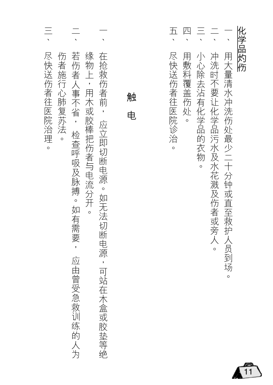| $\equiv$                  |                                                             |                                    |        | $\overline{\mathrm{h}}$ | 四        |                         |                        |                           | 化学品灼伤 |
|---------------------------|-------------------------------------------------------------|------------------------------------|--------|-------------------------|----------|-------------------------|------------------------|---------------------------|-------|
| 尽快送伤者往医院治理。<br>伤者施行心肺复苏法。 | 若伤者人事不省, 检查呼吸及脉搏。如有需要,<br>缘物上,用木或胶棒把伤者与电流分开。<br>应由曾受急救训练的人为 | 在抢救伤者前, 应立即切断电源。如无法切断电源,可站在木盒或胶垫等绝 | 触<br>电 | 尽快送伤者往医院诊治<br>$\circ$   | 用敷料覆盖伤处。 | 小心除去沾有化学品的衣物<br>$\circ$ | 冲洗时不要让化学品污水及水花溅及伤者或旁人。 | 用大量清水冲洗伤处最少二十分钟或直至救护人员到场。 |       |

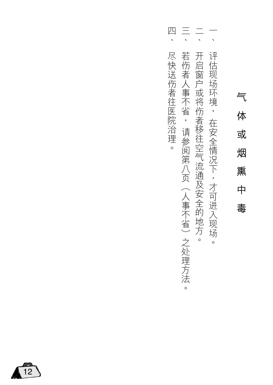# 氣體或煙燻中毒 体 或 烟 熏 中 毒

- 一、評価は、保全情況下,在安全情況下,才可進入現場場,在安全情況下,才可進入現場。 评估现场环境, 在安全情况下,才可进入现场。
- $\frac{1}{\sqrt{2}}$ 一、開發的是一個的場合,但是在2007年2月24日,在2008年2月24日,10月24日,10月24日,10月24日,10月24日,10月24日,10月24日,1 开启窗户或将伤者移往空气流通及安全的地方。
- $\frac{1}{\sqrt{2}}$ 一、「老修者ノ事不省,這多说算丿了(ノ事不信︶1~久理ブ法。 若伤者人事不省, 请参阅第八页(人事不省)之处理方法  $\circ$
- 四、 四、儘快送傷者往醫院治理。 尽快送伤者往医院治理。

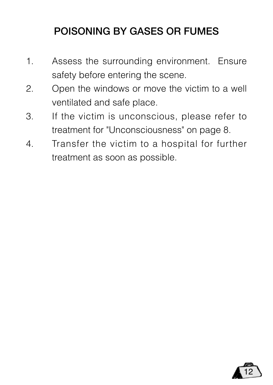# POISONING BY GASES OR FUMES

- 1. Assess the surrounding environment. Ensure safety before entering the scene.
- 2. Open the windows or move the victim to a well ventilated and safe place.
- 3. If the victim is unconscious, please refer to treatment for "Unconsciousness" on page 8.
- 4. Transfer the victim to a hospital for further treatment as soon as possible.

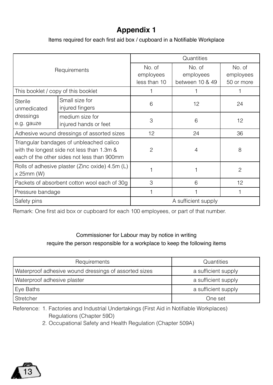## **Appendix 1**

Items required for each first aid box / cupboard in a Notifiable Workplace

|                                     |                                                                                                                                       | Quantities                          |                                        |               |  |  |  |  |
|-------------------------------------|---------------------------------------------------------------------------------------------------------------------------------------|-------------------------------------|----------------------------------------|---------------|--|--|--|--|
|                                     | Requirements                                                                                                                          | No. of<br>employees<br>less than 10 | No. of<br>employees<br>between 10 & 49 |               |  |  |  |  |
| This booklet / copy of this booklet |                                                                                                                                       |                                     |                                        |               |  |  |  |  |
| Sterile<br>unmedicated              | Small size for<br>injured fingers                                                                                                     | 6                                   | 12                                     | 24            |  |  |  |  |
| dressings<br>e.g. gauze             | medium size for<br>injured hands or feet                                                                                              | 3                                   | 6                                      | 12            |  |  |  |  |
|                                     | Adhesive wound dressings of assorted sizes                                                                                            | 12                                  | 24                                     | 36            |  |  |  |  |
|                                     | Triangular bandages of unbleached calico<br>with the longest side not less than 1.3m &<br>each of the other sides not less than 900mm | $\mathfrak{p}$                      | $\overline{4}$                         | 8             |  |  |  |  |
| x 25mm (W)                          | Rolls of adhesive plaster (Zinc oxide) 4.5m (L)                                                                                       |                                     |                                        | $\mathcal{P}$ |  |  |  |  |
|                                     | Packets of absorbent cotton wool each of 30g                                                                                          | 3                                   | 6                                      |               |  |  |  |  |
| Pressure bandage                    |                                                                                                                                       |                                     |                                        |               |  |  |  |  |
| Safety pins                         |                                                                                                                                       | A sufficient supply                 |                                        |               |  |  |  |  |

Remark: One first aid box or cupboard for each 100 employees, or part of that number.

#### Commissioner for Labour may by notice in writing require the person responsible for a workplace to keep the following items

| Requirements                                          | Quantities          |  |  |  |
|-------------------------------------------------------|---------------------|--|--|--|
| Waterproof adhesive wound dressings of assorted sizes | a sufficient supply |  |  |  |
| Waterproof adhesive plaster                           | a sufficient supply |  |  |  |
| Eye Baths                                             | a sufficient supply |  |  |  |
| Stretcher                                             | One set             |  |  |  |

Reference: 1. Factories and Industrial Undertakings (First Aid in Notifiable Workplaces) Regulations (Chapter 59D)

2. Occupational Safety and Health Regulation (Chapter 509A)

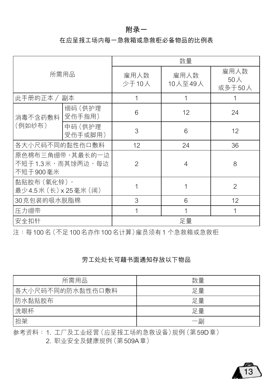#### **附錄一**

#### 在应呈报工场内每一急救箱或急救柜必备物品的比例表

|                                                 |                   |                | 数量              |                       |
|-------------------------------------------------|-------------------|----------------|-----------------|-----------------------|
| 所需用品                                            |                   | 雇用人数<br>少于10人  | 雇用人数<br>10人至49人 | 雇用人数<br>50人<br>或多干50人 |
| 此手册的正本 /<br>副本                                  |                   | 1              | 1               |                       |
| 消毒不含药敷料                                         | 细码(供护理<br>受伤手指用)  | 6              | 12              | 24                    |
| (例如纱布)                                          | 中码(供护理<br>受伤手或脚用) | 3              | 6               | 12                    |
| 各大小尺码不同的黏性伤口敷料                                  |                   | 12             | 24              | 36                    |
| 原色棉布三角绷带,其最长的一边<br>不短于1.3米,而其馀两边,每边<br>不短于900毫米 |                   | $\overline{c}$ | $\overline{4}$  | 8                     |
| 黏贴胶布(氧化锌),<br>最少4.5米 (长) x 25毫米 (阔)             |                   |                | 1               | $\mathfrak{p}$        |
| 30克包装的吸水脱脂棉                                     |                   | 3              | 6               | 12                    |
| <b>压力绷带</b>                                     |                   | 1              | 1               | 1                     |
| 安全扣针                                            |                   | 足量             |                 |                       |

注:每100名(不足100名亦作100名计算)雇员须有1个急救箱或急救柜

#### 劳工处处长可藉书面通知存放以下物品

| 所需用品             | 数量 |
|------------------|----|
| 各大小尺码不同的防水黏性伤口敷料 | 足量 |
| 防水黏贴胶布           | 足量 |
| 洗眼杯              | 足量 |
| 担架               | 一副 |

参考资料: 1. 工厂及工业经营 (应呈报工场的急救设备) 规例 (第59D章)

2. 职业安全及健康规例 (第509A章)

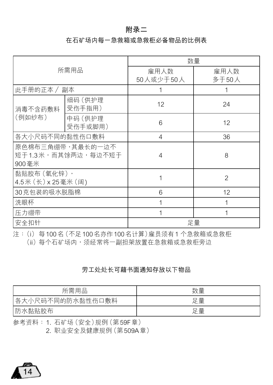#### **附錄二**

#### 在石礦場內每一急救箱或急救櫃必備物品的比例表

|                                                 |                    |                   | 数量             |
|-------------------------------------------------|--------------------|-------------------|----------------|
| 所需用品                                            |                    | 雇用人数<br>50人或少于50人 | 雇用人数<br>多干50人  |
| 此手册的正本 / 副本                                     |                    |                   |                |
| 细码 (供护理<br>受伤手指用)<br>消毒不含药敷料                    |                    | 12                | 24             |
| (例如纱布)                                          | 中码 (供护理<br>受伤手或脚用) | 6                 | 12             |
| 各大小尺码不同的黏性伤口敷料                                  |                    | $\overline{4}$    | 36             |
| 原色棉布三角绷带,其最长的一边不<br>短干1.3米,而其馀两边,每边不短干<br>900毫米 |                    | $\overline{4}$    | 8              |
| 黏贴胶布(氧化锌),<br>4.5米 (长) x 25毫米 (阔)               |                    |                   | $\mathfrak{D}$ |
| 30克包装的吸水脱脂棉                                     |                    | 6                 | 12             |
| 洗眼杯                                             |                    |                   | 1              |
| 压力绷带                                            |                    | 1                 | 1              |
| 安全扣针                                            |                    |                   | 足量             |

注:(i) 每100名(不足100名亦作100名计算)雇员须有1个急救箱或急救柜 (ii)每个石矿场内,须经常将一副担架放置在急救箱或急救柜旁边

#### 劳工处处长可藉书面通知存放以下物品

| 所需用品             | 数量 |
|------------------|----|
| 各大小尺码不同的防水黏性伤口敷料 | 足量 |
| 防水黏贴胶布           | 日量 |

參考資料:1. 石礦場(安全)規例(第59F章)

2. 职业安全及健康规例 (第509A章)

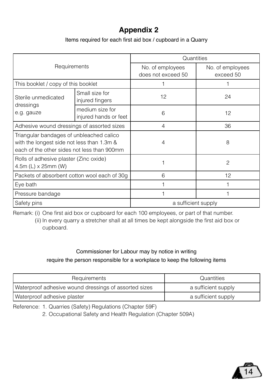## **Appendix 2**

#### Items required for each first aid box / cupboard in a Quarry

|                                                                                                                                       |                                          | Quantities                             |                               |
|---------------------------------------------------------------------------------------------------------------------------------------|------------------------------------------|----------------------------------------|-------------------------------|
| Requirements                                                                                                                          |                                          | No. of employees<br>does not exceed 50 | No. of employees<br>exceed 50 |
| This booklet / copy of this booklet                                                                                                   |                                          |                                        |                               |
| Sterile unmedicated                                                                                                                   | Small size for<br>injured fingers        | 12                                     | 24                            |
| dressings<br>e.g. gauze                                                                                                               | medium size for<br>injured hands or feet | 6                                      | 12                            |
| Adhesive wound dressings of assorted sizes                                                                                            |                                          | 4                                      | 36                            |
| Triangular bandages of unbleached calico<br>with the longest side not less than 1.3m &<br>each of the other sides not less than 900mm |                                          | $\overline{4}$                         | 8                             |
| Rolls of adhesive plaster (Zinc oxide)<br>4.5m (L) x 25mm (W)                                                                         |                                          |                                        | $\mathcal{P}$                 |
| Packets of absorbent cotton wool each of 30g                                                                                          |                                          | 6                                      | 12 <sup>2</sup>               |
| Eye bath                                                                                                                              |                                          |                                        |                               |
| Pressure bandage                                                                                                                      |                                          |                                        |                               |
| Safety pins                                                                                                                           |                                          | a sufficient supply                    |                               |

Remark: (i) One first aid box or cupboard for each 100 employees, or part of that number.

(ii) In every quarry a stretcher shall at all times be kept alongside the first aid box or cupboard.

## Commissioner for Labour may by notice in writing

#### require the person responsible for a workplace to keep the following items

| Requirements                                          | Quantities          |
|-------------------------------------------------------|---------------------|
| Waterproof adhesive wound dressings of assorted sizes | a sufficient supply |
| Waterproof adhesive plaster                           | a sufficient supply |

Reference: 1. Quarries (Safety) Regulations (Chapter 59F)

2. Occupational Safety and Health Regulation (Chapter 509A)

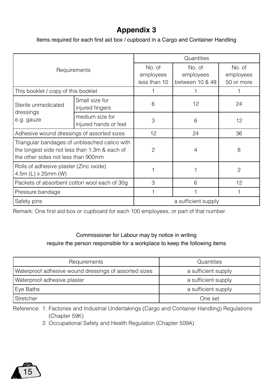## **Appendix 3**

Items required for each first aid box / cupboard in a Cargo and Container Handling

|                                                                                      |                                               |                                     | Quantities                             |                                   |
|--------------------------------------------------------------------------------------|-----------------------------------------------|-------------------------------------|----------------------------------------|-----------------------------------|
| Requirements                                                                         |                                               | No. of<br>employees<br>less than 10 | No. of<br>employees<br>between 10 & 49 | No. of<br>employees<br>50 or more |
| This booklet / copy of this booklet                                                  |                                               |                                     |                                        |                                   |
| Sterile unmedicated                                                                  | Small size for<br>injured fingers             | 6                                   | 12                                     | 24                                |
| dressings<br>e.g. gauze                                                              | medium size for<br>injured hands or feet      | 3                                   | 6                                      | 12                                |
| Adhesive wound dressings of assorted sizes                                           |                                               | 12                                  | 24                                     | 36                                |
| the longest side not less than 1.3m & each of<br>the other sides not less than 900mm | Triangular bandages of unbleached calico with | 2                                   | $\overline{4}$                         | 8                                 |
| Rolls of adhesive plaster (Zinc oxide)<br>4.5m (L) x 25mm (W)                        |                                               |                                     |                                        | $\overline{c}$                    |
| Packets of absorbent cotton wool each of 30g                                         |                                               | 3                                   | 6                                      | 12                                |
| Pressure bandage                                                                     |                                               | 1                                   |                                        |                                   |
| Safety pins                                                                          |                                               | a sufficient supply                 |                                        |                                   |

Remark: One first aid box or cupboard for each 100 employees, or part of that number.

#### Commissioner for Labour may by notice in writing require the person responsible for a workplace to keep the following items

| Requirements                                          | Quantities          |  |
|-------------------------------------------------------|---------------------|--|
| Waterproof adhesive wound dressings of assorted sizes | a sufficient supply |  |
| Waterproof adhesive plaster                           | a sufficient supply |  |
| Eye Baths                                             | a sufficient supply |  |
| Stretcher                                             | One set             |  |

Reference: 1. Factories and Industrial Undertakings (Cargo and Container Handling) Regulations (Chapter 59K)

2. Occupational Safety and Health Regulation (Chapter 509A)

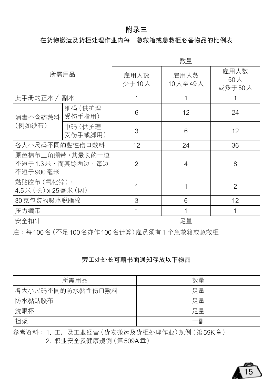#### **附錄三**

#### 在货物搬运及货柜处理作业内每一急救箱或急救柜必备物品的比例表

|                                                 |                    |                          | 数量              |                       |
|-------------------------------------------------|--------------------|--------------------------|-----------------|-----------------------|
| 所需用品                                            |                    | 雇用人数<br>少于10人            | 雇用人数<br>10人至49人 | 雇用人数<br>50人<br>或多干50人 |
| 此手册的正本 /                                        | 副本                 | 1                        | 1               |                       |
| 消毒不含药敷料                                         | 细码 (供护理<br>受伤手指用)  | 6                        | 12              | 24                    |
| (例如纱布)                                          | 中码 (供护理<br>受伤手或脚用) | 3                        | 6               | 12                    |
| 各大小尺码不同的黏性伤口敷料                                  |                    | 12                       | 24              | 36                    |
| 原色棉布三角绷带,其最长的一边<br>不短于1.3米,而其馀两边,每边<br>不短于900毫米 |                    | $\overline{\mathcal{L}}$ | $\overline{4}$  | 8                     |
| 黏贴胶布(氧化锌),<br>4.5米 (长) x 25毫米 (阔)               |                    |                          | 1               | $\overline{c}$        |
| 30克包装的吸水脱脂棉                                     |                    | 3                        | 6               | 12                    |
| 压力绷带                                            |                    | 1                        | 1               | 1                     |
| 安全扣针                                            |                    | 足量                       |                 |                       |

注:每100名(不足100名亦作100名计算)雇员须有1个急救箱或急救柜

#### 劳工处处长可藉书面通知存放以下物品

| 所需用品             | 数量 |
|------------------|----|
| 各大小尺码不同的防水黏性伤口敷料 | 足量 |
| 防水黏贴胶布           | 足量 |
| 洗眼杯              | 足量 |
| 担架               | 一副 |

参考资料: 1. 工厂及工业经营 (货物搬运及货柜处理作业)规例 (第59K章)

2. 职业安全及健康规例 (第509A章)

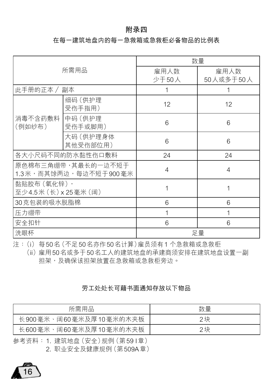#### **附錄四**

#### 在每一建筑地盘内的每一急救箱或急救柜必备物品的比例表

| 所需用品                                        |                       | 数量             |           |  |
|---------------------------------------------|-----------------------|----------------|-----------|--|
|                                             |                       | 雇用人数           | 雇用人数      |  |
|                                             |                       | 少于50人          | 50人或多于50人 |  |
| 此手册的正本 / 副本                                 |                       | 1              | 1         |  |
|                                             | 细码(供护理<br>受伤手指用)      | 12             | 12        |  |
| 消毒不含药敷料<br>(例如纱布)                           | 中码 (供护理<br>受伤手或脚用)    | 6              | 6         |  |
|                                             | 大码 (供护理身体<br>其他受伤部位用) | 6              | 6         |  |
| 各大小尺码不同的防水黏性伤口敷料                            |                       | 24             | 24        |  |
| 原色棉布三角绷带,其最长的一边不短于<br>1.3米,而其馀两边,每边不短于900毫米 |                       | $\overline{4}$ | 4         |  |
| 黏贴胶布(氧化锌),<br>至少4.5米 (长) x 25毫米 (阔)         |                       | 1              | 1         |  |
| 30克包装的吸水脱脂棉                                 |                       | 6              | 6         |  |
| 压力绷带                                        |                       | 1              | 1         |  |
| 安全扣针                                        |                       | 6              | 6         |  |
| 洗眼杯                                         |                       |                | 足量        |  |

注:(i) 每50名(不足50名亦作50名计算)雇员须有1个急救箱或急救柜

(ii)雇用50名或多干50名工人的建筑地盘的承建商须安排在建筑地盘设置一副 担架,及确保该担架放置在急救箱或急救柜旁边。

#### 劳工处处长可藉书面通知存放以下物品

| 所需用品                   | 数量 |
|------------------------|----|
| 长900毫米、阔60毫米及厚10毫米的木夹板 | 2块 |
| 长600毫米、阔60毫米及厚10毫米的木夹板 | 2块 |

參考資料: 1. 建築地盤(安全)規例(第59 I章)

2. 职业安全及健康规例 (第509A章)

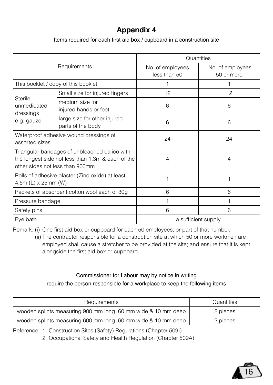### **Appendix 4**

Items required for each first aid box / cupboard in a construction site

| Requirements                                                                                                                          |                                                   | Quantities                       |                                |  |
|---------------------------------------------------------------------------------------------------------------------------------------|---------------------------------------------------|----------------------------------|--------------------------------|--|
|                                                                                                                                       |                                                   | No. of employees<br>less than 50 | No. of employees<br>50 or more |  |
| This booklet / copy of this booklet                                                                                                   |                                                   |                                  |                                |  |
| Sterile<br>unmedicated<br>dressings<br>e.g. gauze                                                                                     | Small size for injured fingers                    | 12                               | 12                             |  |
|                                                                                                                                       | medium size for<br>injured hands or feet          | 6                                | 6                              |  |
|                                                                                                                                       | large size for other injured<br>parts of the body | 6                                | 6                              |  |
| Waterproof adhesive wound dressings of<br>assorted sizes                                                                              |                                                   | 24                               | 24                             |  |
| Triangular bandages of unbleached calico with<br>the longest side not less than 1.3m & each of the<br>other sides not less than 900mm |                                                   | 4                                | 4                              |  |
| Rolls of adhesive plaster (Zinc oxide) at least<br>4.5m (L) x 25mm (W)                                                                |                                                   |                                  |                                |  |
| Packets of absorbent cotton wool each of 30g                                                                                          |                                                   | ĥ                                | ĥ                              |  |
| Pressure bandage                                                                                                                      |                                                   |                                  |                                |  |
| Safety pins                                                                                                                           |                                                   | ĥ                                | ĥ                              |  |
| Eye bath                                                                                                                              |                                                   | a sufficient supply              |                                |  |

Remark: (i) One first aid box or cupboard for each 50 employees, or part of that number.

(ii) The contractor responsible for a construction site at which 50 or more workmen are employed shall cause a stretcher to be provided at the site; and ensure that it is kept alongside the first aid box or cupboard.

#### Commissioner for Labour may by notice in writing

require the person responsible for a workplace to keep the following items

| Requirements                                                  | Quantities |
|---------------------------------------------------------------|------------|
| wooden splints measuring 900 mm long, 60 mm wide & 10 mm deep | 2 pieces   |
| wooden splints measuring 600 mm long, 60 mm wide & 10 mm deep | 2 pieces   |

Reference: 1. Construction Sites (Safety) Regulations (Chapter 509I)

2. Occupational Safety and Health Regulation (Chapter 509A)

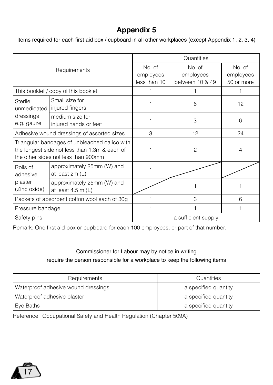## **Appendix 5**

Items required for each first aid box / cupboard in all other workplaces (except Appendix 1, 2, 3, 4)

| Requirements                                                                                                                          |                                                    | Quantities                          |                                        |                                   |
|---------------------------------------------------------------------------------------------------------------------------------------|----------------------------------------------------|-------------------------------------|----------------------------------------|-----------------------------------|
|                                                                                                                                       |                                                    | No. of<br>employees<br>less than 10 | No. of<br>employees<br>between 10 & 49 | No. of<br>employees<br>50 or more |
| This booklet / copy of this booklet                                                                                                   |                                                    |                                     |                                        |                                   |
| Sterile<br>unmedicated  <br>dressings<br>e.g. gauze                                                                                   | Small size for<br>injured fingers                  |                                     | 6                                      | 12                                |
|                                                                                                                                       | medium size for<br>injured hands or feet           |                                     | 3                                      | 6                                 |
| Adhesive wound dressings of assorted sizes                                                                                            |                                                    | 3                                   | 12                                     | 24                                |
| Triangular bandages of unbleached calico with<br>the longest side not less than 1.3m & each of<br>the other sides not less than 900mm |                                                    |                                     | $\mathfrak{p}$                         | $\overline{4}$                    |
| Rolls of<br>adhesive<br>plaster<br>(Zinc oxide)                                                                                       | approximately 25mm (W) and<br>at least 2m (L)      |                                     |                                        |                                   |
|                                                                                                                                       | approximately 25mm (W) and<br>at least $4.5$ m (L) |                                     |                                        |                                   |
| Packets of absorbent cotton wool each of 30g                                                                                          |                                                    |                                     | 3                                      | 6                                 |
| Pressure bandage                                                                                                                      |                                                    |                                     |                                        |                                   |
| Safety pins                                                                                                                           |                                                    | a sufficient supply                 |                                        |                                   |

Remark: One first aid box or cupboard for each 100 employees, or part of that number.

#### Commissioner for Labour may by notice in writing require the person responsible for a workplace to keep the following items

| Requirements                        | Quantities           |  |
|-------------------------------------|----------------------|--|
| Waterproof adhesive wound dressings | a specified quantity |  |
| Waterproof adhesive plaster         | a specified quantity |  |
| Eye Baths                           | a specified quantity |  |

Reference: Occupational Safety and Health Regulation (Chapter 509A)

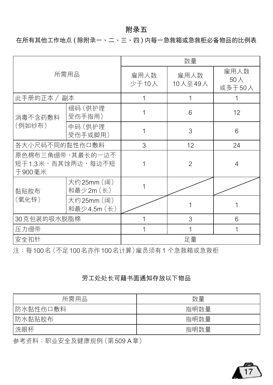#### **附錄五**

在所有其他工作地點 ( 除附錄一、二、三、四 ) 內每一急救箱或急救櫃必備物品的比例表

| 所需用品                                              |                           | 数量            |                 |                       |
|---------------------------------------------------|---------------------------|---------------|-----------------|-----------------------|
|                                                   |                           | 雇用人数<br>少于10人 | 雇用人数<br>10人至49人 | 雇用人数<br>50人<br>或多于50人 |
| 此手册的正本 / 副本                                       |                           | 1             | 1               |                       |
| 消毒不含药敷料<br>(例如纱布)                                 | 细码 (供护理<br>受伤手指用)         | 1             | 6               | 12                    |
|                                                   | 中码 (供护理<br>受伤手或脚用)        |               | 3               | 6                     |
| 各大小尺码不同的黏性伤口敷料                                    |                           | 3             | 12              | 24                    |
| 原色棉布三角绷带,其最长的一边不<br>短于 1.3 米,而其馀两边,每边不短<br>干900毫米 |                           |               | $\overline{c}$  | $\overline{4}$        |
| 黏贴胶布                                              | 大约25mm (阔)<br>和最少2m (长)   | 1             |                 |                       |
| (氧化锌)                                             | 大约25mm (阔)<br>和最少4.5m (长) |               |                 |                       |
| 30克包装的吸水脱脂棉                                       |                           |               | 3               | 6                     |
| 压力绷带                                              |                           |               | 1               | 1                     |
| 安全扣针                                              |                           | 足量            |                 |                       |

注:每100名(不足100名亦作100名计算)雇员须有1个急救箱或急救柜

#### 劳工处处长可藉书面通知存放以下物品

| 所需用品     | 数量   |
|----------|------|
| 防水黏性伤口敷料 | 指明数量 |
| 防水黏贴胶布   | 指明数量 |
| 洗眼杯      | 指明数量 |

参考资料:职业安全及健康规例 (第509 A章)